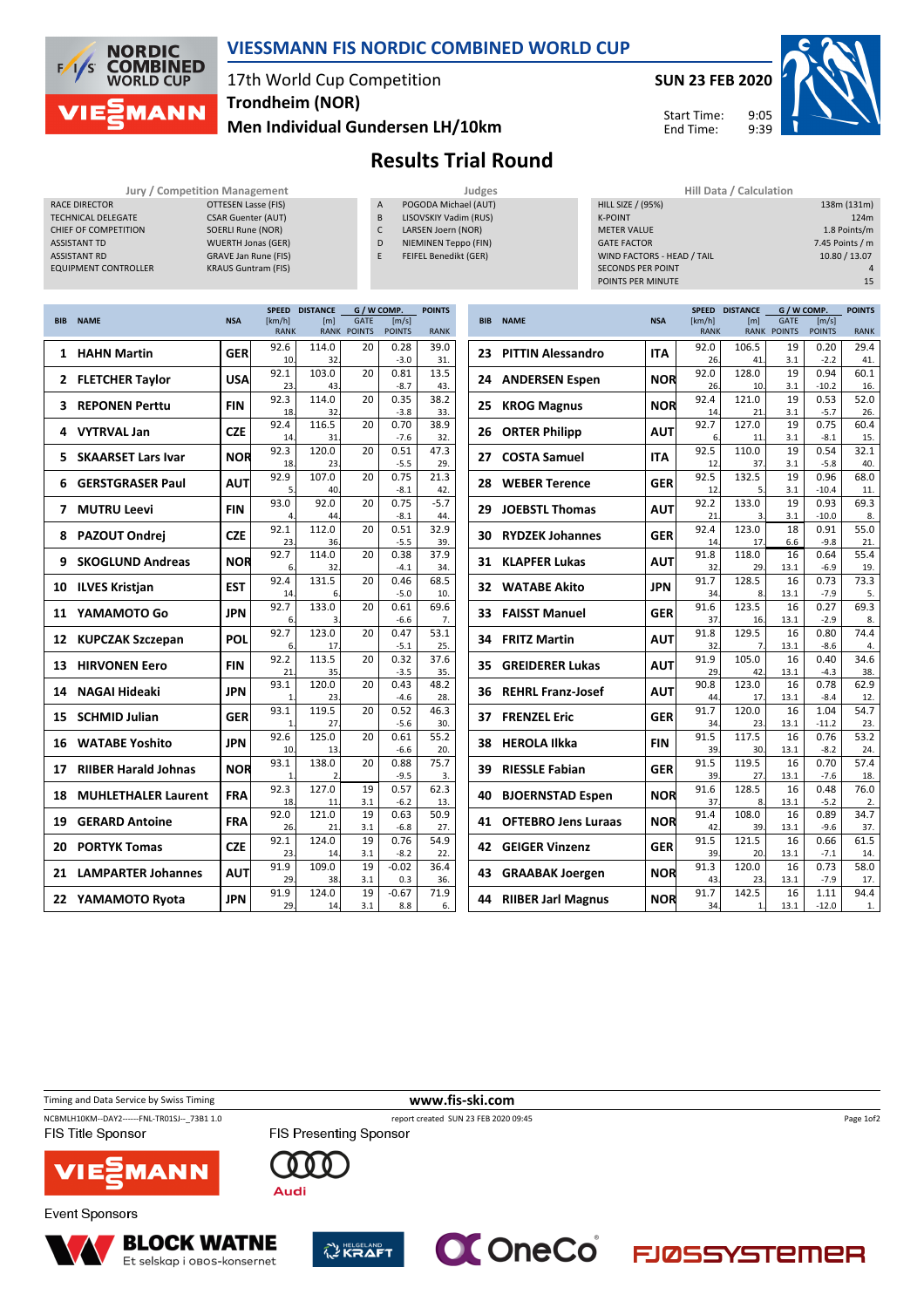

### **VIESSMANN FIS NORDIC COMBINED WORLD CUP**

# 17th World Cup Competition **Trondheim (NOR)**

**Men Individual Gundersen LH/10km**

## **Results Trial Round**

|--|

|                             | Jury / Competition Mar |
|-----------------------------|------------------------|
| <b>RACE DIRECTOR</b>        | <b>OTTESEN</b>         |
| <b>TECHNICAL DELEGATE</b>   | <b>CSAR Gu</b>         |
| CHIFF OF COMPETITION        | <b>SOERLIF</b>         |
| <b>ASSISTANT TD</b>         | <b>WUFRTH</b>          |
| <b>ASSISTANT RD</b>         | <b>GRAVE J</b>         |
| <b>FOUIPMENT CONTROLLER</b> | <b>KRALIS G</b>        |

- A POGODA Michael (AUT) B LISOVSKIY Vadim (RUS) C LARSEN Joern (NOR)
- D NIEMINEN Teppo (FIN) E FEIFEL Benedikt (GER)

|               | <b>Jury / Competition Management</b> |                | Judges                |                            | Hill Data / Calculation |                   |
|---------------|--------------------------------------|----------------|-----------------------|----------------------------|-------------------------|-------------------|
|               | OTTESEN Lasse (FIS)                  | $\overline{A}$ | POGODA Michael (AUT)  | <b>HILL SIZE / (95%)</b>   |                         | 138m (131m)       |
| <b>\TF</b>    | <b>CSAR Guenter (AUT)</b>            | B              | LISOVSKIY Vadim (RUS) | <b>K-POINT</b>             |                         | 124m              |
| <b>TION</b>   | SOERLI Rune (NOR)                    | c              | LARSEN Joern (NOR)    | <b>METER VALUE</b>         |                         | 1.8 Points/m      |
|               | <b>WUERTH Jonas (GER)</b>            | D              | NIEMINEN Teppo (FIN)  | <b>GATE FACTOR</b>         |                         | 7.45 Points / $m$ |
|               | <b>GRAVE Jan Rune (FIS)</b>          |                | FEIFEL Benedikt (GER) | WIND FACTORS - HEAD / TAIL |                         | 10.80 / 13.07     |
| <b>ROLLER</b> | <b>KRAUS Guntram (FIS)</b>           |                |                       | <b>SECONDS PER POINT</b>   |                         |                   |
|               |                                      |                |                       | POINTS PER MINUTE          |                         | 15                |
|               |                                      |                |                       |                            |                         |                   |

9:05 9:39

**SUN 23 FEB 2020**

Start Time: End Time:

|            |                             |            | <b>SPEED</b>          | <b>DISTANCE</b> | G / W COMP.                       |                        | <b>POINTS</b> |
|------------|-----------------------------|------------|-----------------------|-----------------|-----------------------------------|------------------------|---------------|
| <b>BIB</b> | <b>NAME</b>                 | <b>NSA</b> | [km/h]<br><b>RANK</b> | [m]             | <b>GATE</b><br><b>RANK POINTS</b> | [m/s]<br><b>POINTS</b> | <b>RANK</b>   |
|            |                             |            | 92.6                  | 114.0           | 20                                | 0.28                   | 39.0          |
| 1          | <b>HAHN Martin</b>          | <b>GER</b> | 10.                   | 32              |                                   | $-3.0$                 | 31.           |
| 2          |                             | <b>USA</b> | 92.1                  | 103.0           | 20                                | 0.81                   | 13.5          |
|            | <b>FLETCHER Taylor</b>      |            | 23.                   | 43              |                                   | $-8.7$                 | 43.           |
| 3          | <b>REPONEN Perttu</b>       | FIN        | 92.3                  | 114.0           | 20                                | 0.35                   | 38.2          |
|            |                             |            | 18.                   | 32              |                                   | $-3.8$                 | 33.           |
| 4          | <b>VYTRVAL Jan</b>          | <b>CZE</b> | 92.4                  | 116.5           | 20                                | 0.70                   | 38.9          |
|            |                             |            | 14                    | 31              |                                   | $-7.6$                 | 32.           |
| 5          | <b>SKAARSET Lars Ivar</b>   | NOR        | 92.3<br>18.           | 120.0<br>23     | 20                                | 0.51<br>$-5.5$         | 47.3<br>29.   |
|            |                             |            | 92.9                  | 107.0           | 20                                | 0.75                   | 21.3          |
| 6          | <b>GERSTGRASER Paul</b>     | AUT        | 5                     | 40              |                                   | $-8.1$                 | 42.           |
|            |                             |            | 93.0                  | 92.0            | 20                                | 0.75                   | $-5.7$        |
| 7          | <b>MUTRU Leevi</b>          | <b>FIN</b> | 4                     | 44              |                                   | $-8.1$                 | 44.           |
|            |                             |            | 92.1                  | 112.0           | 20                                | 0.51                   | 32.9          |
| 8          | <b>PAZOUT Ondrej</b>        | CZE        | 23.                   | 36              |                                   | $-5.5$                 | 39.           |
|            |                             |            | 92.7                  | 114.0           | 20                                | 0.38                   | 37.9          |
| 9          | <b>SKOGLUND Andreas</b>     | NOR        | 6.                    | 32              |                                   | $-4.1$                 | 34.           |
|            |                             | <b>EST</b> | 92.4                  | 131.5           | 20                                | 0.46                   | 68.5          |
| 10         | <b>ILVES Kristjan</b>       |            | 14.                   | 6               |                                   | $-5.0$                 | 10.           |
| 11         | YAMAMOTO Go                 | <b>JPN</b> | 92.7                  | 133.0           | 20                                | 0.61                   | 69.6          |
|            |                             |            | 6.                    | 3               |                                   | $-6.6$                 | 7.            |
| 12         | <b>KUPCZAK Szczepan</b>     | <b>POL</b> | 92.7                  | 123.0           | 20                                | 0.47                   | 53.1          |
|            |                             |            | 6.                    | 17              |                                   | $-5.1$                 | 25.           |
| 13         | <b>HIRVONEN Eero</b>        | FIN        | 92.2                  | 113.5           | 20                                | 0.32                   | 37.6          |
|            |                             |            | 21<br>93.1            | 35<br>120.0     | 20                                | $-3.5$                 | 35.           |
| 14         | <b>NAGAI Hideaki</b>        | <b>JPN</b> | $\mathbf{1}$          | 23              |                                   | 0.43<br>$-4.6$         | 48.2<br>28.   |
|            |                             |            | 93.1                  | 119.5           | 20                                | 0.52                   | 46.3          |
| 15         | <b>SCHMID Julian</b>        | <b>GER</b> | 1.                    | 27              |                                   | $-5.6$                 | 30.           |
|            |                             |            | 92.6                  | 125.0           | 20                                | 0.61                   | 55.2          |
| 16         | <b>WATABE Yoshito</b>       | <b>JPN</b> | 10.                   | 13              |                                   | $-6.6$                 | 20.           |
| 17         | <b>RIIBER Harald Johnas</b> | NOR        | 93.1                  | 138.0           | 20                                | 0.88                   | 75.7          |
|            |                             |            | 1                     | $\overline{2}$  |                                   | $-9.5$                 | 3.            |
| 18         | <b>MUHLETHALER Laurent</b>  | <b>FRA</b> | 92.3                  | 127.0           | 19                                | 0.57                   | 62.3          |
|            |                             |            | 18.                   | 11.             | 3.1                               | $-6.2$                 | 13.           |
| 19         | <b>GERARD Antoine</b>       | <b>FRA</b> | 92.0                  | 121.0           | 19                                | 0.63                   | 50.9          |
|            |                             |            | 26.                   | 21              | 3.1                               | $-6.8$                 | 27.           |
| 20         | <b>PORTYK Tomas</b>         | <b>CZE</b> | 92.1                  | 124.0           | 19                                | 0.76                   | 54.9          |
|            |                             |            | 23.                   | 14.<br>109.0    | 3.1                               | $-8.2$                 | 22.<br>36.4   |
| 21         | <b>LAMPARTER Johannes</b>   | AUT        | 91.9<br>29            | 38.             | 19<br>3.1                         | $-0.02$<br>0.3         | 36.           |
|            |                             |            | 91.9                  | 124.0           | 19                                | $-0.67$                | 71.9          |
| 22         | YAMAMOTO Rvota              | <b>JPN</b> | 29.                   | 14.             | 3.1                               | 8.8                    | 6.            |
|            |                             |            |                       |                 |                                   |                        |               |

|            |                            |            | <b>SPEED</b>          | <b>DISTANCE</b><br>G / W COMP. |                                   |                        |             |
|------------|----------------------------|------------|-----------------------|--------------------------------|-----------------------------------|------------------------|-------------|
| <b>BIB</b> | <b>NAME</b>                | <b>NSA</b> | [km/h]<br><b>RANK</b> | [m]                            | <b>GATE</b><br><b>RANK POINTS</b> | [m/s]<br><b>POINTS</b> | <b>RANK</b> |
| 23         | <b>PITTIN Alessandro</b>   | <b>ITA</b> | 92.0                  | 106.5                          | 19                                | 0.20                   | 29.4        |
|            |                            |            | 26                    | 41                             | 3.1                               | $-2.2$                 | 41.         |
| 24         | <b>ANDERSEN Espen</b>      | NOR        | 92.0<br>26            | 128.0<br>10                    | 19<br>3.1                         | 0.94<br>$-10.2$        | 60.1<br>16. |
|            |                            |            | 92.4                  | 121.0                          | 19                                | 0.53                   | 52.0        |
| 25         | <b>KROG Magnus</b>         | <b>NOR</b> | 14                    | 21                             | 3.1                               | $-5.7$                 | 26.         |
| 26         | <b>ORTER Philipp</b>       | <b>AUT</b> | 92.7                  | 127.0                          | 19                                | 0.75                   | 60.4        |
|            |                            |            | 6.<br>92.5            | 11<br>110.0                    | 3.1<br>19                         | $-8.1$<br>0.54         | 15.<br>32.1 |
| 27         | <b>COSTA Samuel</b>        | <b>ITA</b> | 12                    | 37                             | 3.1                               | $-5.8$                 | 40.         |
| 28         | <b>WEBER Terence</b>       | <b>GER</b> | 92.5                  | 132.5                          | 19                                | 0.96                   | 68.0        |
|            |                            |            | 12                    | 5.                             | 3.1                               | $-10.4$                | 11.         |
| 29         | <b>JOEBSTL Thomas</b>      | <b>AUT</b> | 92.2                  | 133.0                          | 19                                | 0.93                   | 69.3        |
|            |                            |            | 21                    | 3                              | 3.1                               | $-10.0$                | 8.          |
| 30         | <b>RYDZEK Johannes</b>     | GER        | 92.4<br>14            | 123.0<br>17                    | 18<br>6.6                         | 0.91<br>$-9.8$         | 55.0<br>21. |
|            |                            |            | 91.8                  | 118.0                          | 16                                | 0.64                   | 55.4        |
| 31         | <b>KLAPFER Lukas</b>       | <b>AUT</b> | 32                    | 29                             | 13.1                              | $-6.9$                 | 19.         |
| 32         | <b>WATABE Akito</b>        | <b>JPN</b> | 91.7                  | 128.5                          | 16                                | 0.73                   | 73.3        |
|            |                            |            | 34                    | 8                              | 13.1                              | $-7.9$                 | 5.          |
| 33         | <b>FAISST Manuel</b>       | <b>GER</b> | 91.6                  | 123.5                          | 16                                | 0.27                   | 69.3        |
|            |                            |            | 37.                   | 16                             | 13.1                              | $-2.9$                 | 8.          |
| 34         | <b>FRITZ Martin</b>        | <b>AUT</b> | 91.8<br>32            | 129.5<br>7                     | 16<br>13.1                        | 0.80<br>$-8.6$         | 74.4<br>4.  |
|            |                            |            | 91.9                  | 105.0                          | 16                                | 0.40                   | 34.6        |
| 35         | <b>GREIDERER Lukas</b>     | <b>AUT</b> | 29                    | 42                             | 13.1                              | $-4.3$                 | 38.         |
| 36         | <b>REHRL Franz-Josef</b>   | <b>AUT</b> | 90.8                  | 123.0                          | 16                                | 0.78                   | 62.9        |
|            |                            |            | 44                    | 17                             | 13.1                              | $-8.4$                 | 12.         |
| 37         | <b>FRENZEL Eric</b>        | GER        | 91.7                  | 120.0                          | 16                                | 1.04                   | 54.7        |
|            |                            |            | 34<br>91.5            | 23<br>117.5                    | 13.1<br>16                        | $-11.2$<br>0.76        | 23.<br>53.2 |
| 38         | <b>HEROLA Ilkka</b>        | <b>FIN</b> | 39.                   | 30                             | 13.1                              | $-8.2$                 | 24.         |
|            |                            |            | 91.5                  | 119.5                          | 16                                | 0.70                   | 57.4        |
| 39         | <b>RIESSLE Fabian</b>      | <b>GER</b> | 39                    | 27.                            | 13.1                              | $-7.6$                 | 18.         |
| 40         | <b>BJOERNSTAD Espen</b>    | NOR        | 91.6                  | 128.5                          | 16                                | 0.48                   | 76.0        |
|            |                            |            | 37                    | 8                              | 13.1                              | $-5.2$                 | 2.          |
| 41         | <b>OFTEBRO Jens Luraas</b> | NOR        | 91.4<br>42            | 108.0<br>39                    | 16<br>13.1                        | 0.89<br>$-9.6$         | 34.7<br>37. |
|            |                            |            | 91.5                  | 121.5                          | 16                                | 0.66                   | 61.5        |
| 42         | <b>GEIGER Vinzenz</b>      | <b>GER</b> | 39.                   | 20                             | 13.1                              | $-7.1$                 | 14.         |
| 43         | <b>GRAABAK Joergen</b>     | NOR        | 91.3                  | 120.0                          | 16                                | 0.73                   | 58.0        |
|            |                            |            | 43                    | 23                             | 13.1                              | $-7.9$                 | 17.         |
| 44         | <b>RIIBER Jarl Magnus</b>  | NOR        | 91.7<br>34.           | 142.5<br>1.                    | 16<br>13.1                        | 1.11<br>$-12.0$        | 94.4<br>1.  |
|            |                            |            |                       |                                |                                   |                        |             |